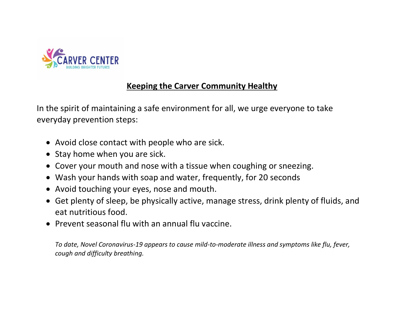

## **Keeping the Carver Community Healthy**

In the spirit of maintaining a safe environment for all, we urge everyone to take everyday prevention steps:

- Avoid close contact with people who are sick.
- Stay home when you are sick.
- Cover your mouth and nose with a tissue when coughing or sneezing.
- Wash your hands with soap and water, frequently, for 20 seconds
- Avoid touching your eyes, nose and mouth.
- Get plenty of sleep, be physically active, manage stress, drink plenty of fluids, and eat nutritious food.
- Prevent seasonal flu with an annual flu vaccine.

*To date, Novel Coronavirus-19 appears to cause mild-to-moderate illness and symptoms like flu, fever, cough and difficulty breathing.*